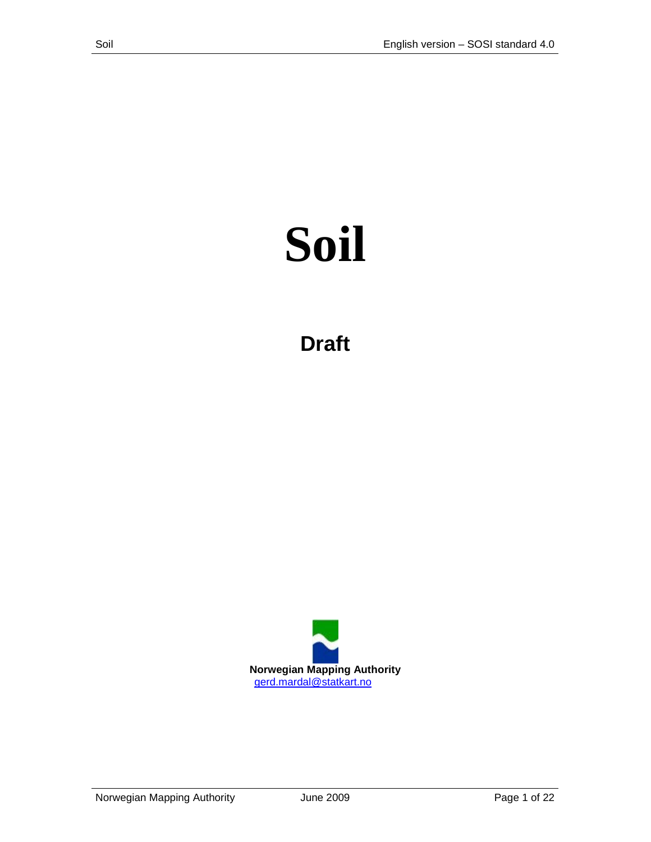# **Soil**

**Draft**

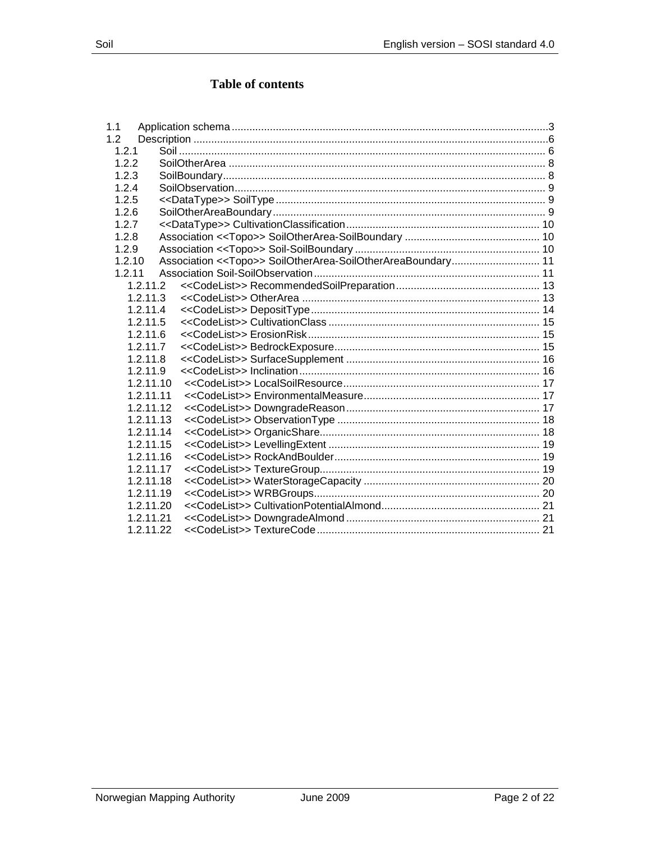# **Table of contents**

| 1.1       |  |
|-----------|--|
| 1.2       |  |
| 1.2.1     |  |
| 1.2.2     |  |
| 1.2.3     |  |
| 1.2.4     |  |
| 1.2.5     |  |
| 1.2.6     |  |
| 1.2.7     |  |
| 1.2.8     |  |
| 1.2.9     |  |
| 1.2.10    |  |
| 1.2.11    |  |
| 1.2.11.2  |  |
| 1.2.11.3  |  |
| 1.2.11.4  |  |
| 1.2.11.5  |  |
| 1.2.11.6  |  |
| 1.2.11.7  |  |
| 1.2.11.8  |  |
| 1.2.11.9  |  |
| 1.2.11.10 |  |
| 1.2.11.11 |  |
| 1.2.11.12 |  |
| 1.2.11.13 |  |
| 1.2.11.14 |  |
| 1.2.11.15 |  |
| 1.2.11.16 |  |
| 1.2.11.17 |  |
| 1.2.11.18 |  |
| 1.2.11.19 |  |
| 1.2.11.20 |  |
| 1.2.11.21 |  |
| 1.2.11.22 |  |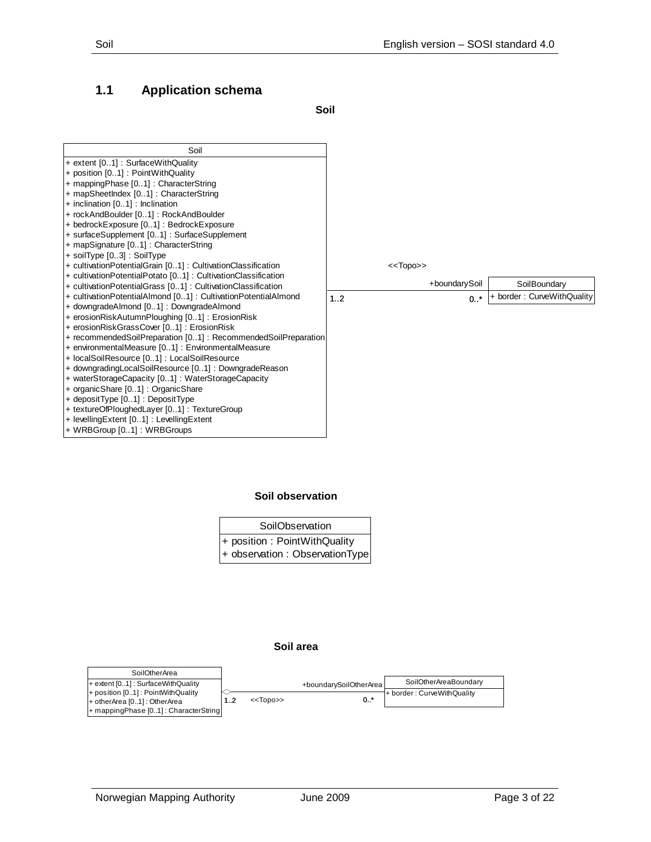## <span id="page-2-0"></span>**1.1 Application schema**

**Soil**



#### **Soil observation**

| SoilObservation                 |  |  |  |  |  |
|---------------------------------|--|--|--|--|--|
| + position : PointWithQuality   |  |  |  |  |  |
| + observation : ObservationType |  |  |  |  |  |

#### **Soil area**

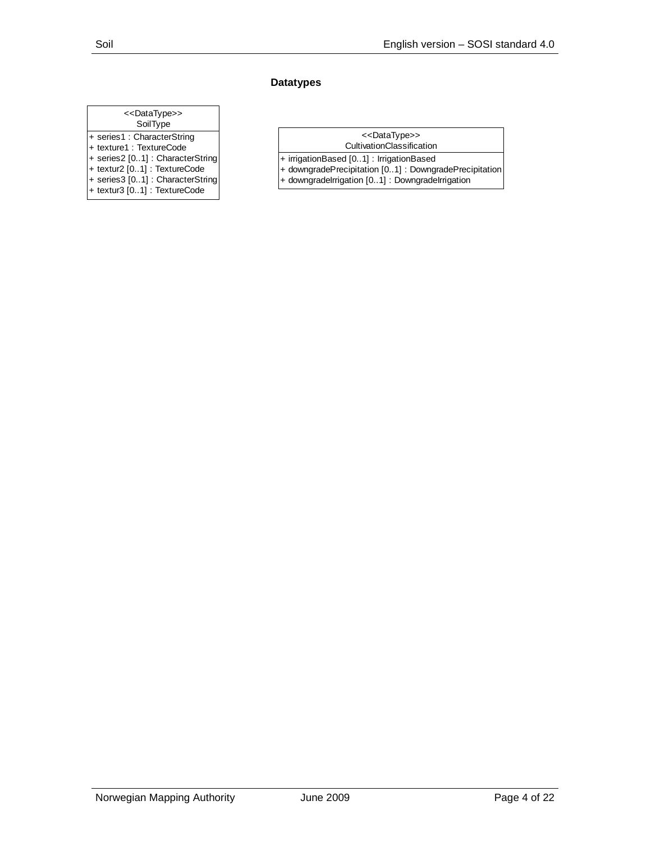#### **Datatypes**

#### **SoilType** + series1 : CharacterString + texture1 : TextureCode + series2 [0..1] : CharacterString + textur2 [0..1] : TextureCode <<DataType>>

+ series3 [0..1] : CharacterString + textur3 [0..1] : TextureCode

#### <<DataType>>

- CultivationClassification
- + irrigationBased [0..1] : IrrigationBased + downgradePrecipitation [0..1] : DowngradePrecipitation
- + downgradeIrrigation [0..1] : DowngradeIrrigation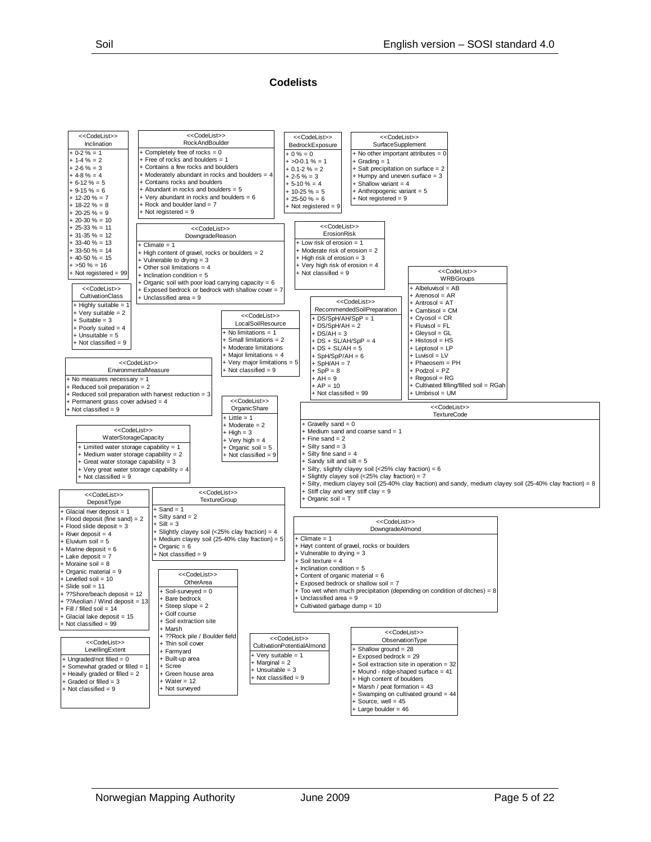#### **Codelists**

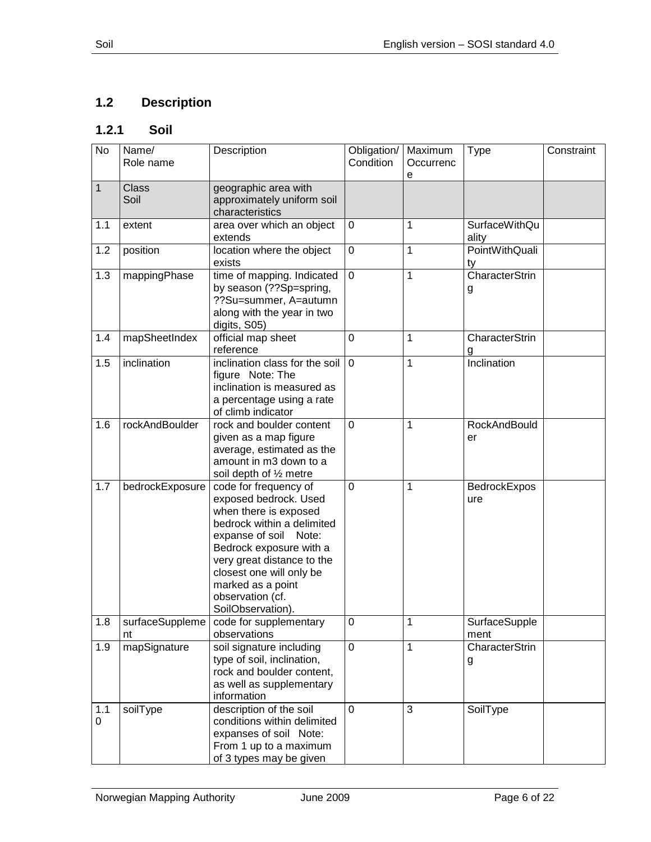# <span id="page-5-0"></span>**1.2 Description**

# <span id="page-5-1"></span>**1.2.1 Soil**

| No                 | Name/<br>Role name    | Description                                                                                                                                                                                                                                                                       | Obligation/<br>Condition | Maximum<br>Occurrenc<br>e | <b>Type</b>                | Constraint |
|--------------------|-----------------------|-----------------------------------------------------------------------------------------------------------------------------------------------------------------------------------------------------------------------------------------------------------------------------------|--------------------------|---------------------------|----------------------------|------------|
| $\mathbf{1}$       | <b>Class</b><br>Soil  | geographic area with<br>approximately uniform soil<br>characteristics                                                                                                                                                                                                             |                          |                           |                            |            |
| 1.1                | extent                | area over which an object<br>extends                                                                                                                                                                                                                                              | 0                        | 1                         | SurfaceWithQu<br>ality     |            |
| 1.2                | position              | location where the object<br>exists                                                                                                                                                                                                                                               | $\mathbf 0$              | $\mathbf{1}$              | PointWithQuali<br>ty       |            |
| 1.3                | mappingPhase          | time of mapping. Indicated<br>by season (??Sp=spring,<br>??Su=summer, A=autumn<br>along with the year in two<br>digits, S05)                                                                                                                                                      | $\overline{0}$           | 1                         | CharacterStrin<br>g        |            |
| 1.4                | mapSheetIndex         | official map sheet<br>reference                                                                                                                                                                                                                                                   | $\overline{0}$           | $\mathbf{1}$              | <b>CharacterStrin</b><br>g |            |
| 1.5                | inclination           | inclination class for the soil<br>figure Note: The<br>inclination is measured as<br>a percentage using a rate<br>of climb indicator                                                                                                                                               | $\mathbf 0$              | 1                         | Inclination                |            |
| 1.6                | rockAndBoulder        | rock and boulder content<br>given as a map figure<br>average, estimated as the<br>amount in m3 down to a<br>soil depth of 1/2 metre                                                                                                                                               | $\mathbf 0$              | 1                         | <b>RockAndBould</b><br>er  |            |
| 1.7                | bedrockExposure       | code for frequency of<br>exposed bedrock. Used<br>when there is exposed<br>bedrock within a delimited<br>expanse of soil Note:<br>Bedrock exposure with a<br>very great distance to the<br>closest one will only be<br>marked as a point<br>observation (cf.<br>SoilObservation). | $\mathbf 0$              | 1                         | BedrockExpos<br>ure        |            |
| 1.8                | surfaceSuppleme<br>nt | code for supplementary<br>observations                                                                                                                                                                                                                                            | 0                        | 1                         | SurfaceSupple<br>ment      |            |
| 1.9                | mapSignature          | soil signature including<br>type of soil, inclination,<br>rock and boulder content,<br>as well as supplementary<br>information                                                                                                                                                    | $\mathbf 0$              | $\mathbf{1}$              | <b>CharacterStrin</b><br>g |            |
| 1.1<br>$\mathbf 0$ | soilType              | description of the soil<br>conditions within delimited<br>expanses of soil Note:<br>From 1 up to a maximum<br>of 3 types may be given                                                                                                                                             | 0                        | 3                         | SoilType                   |            |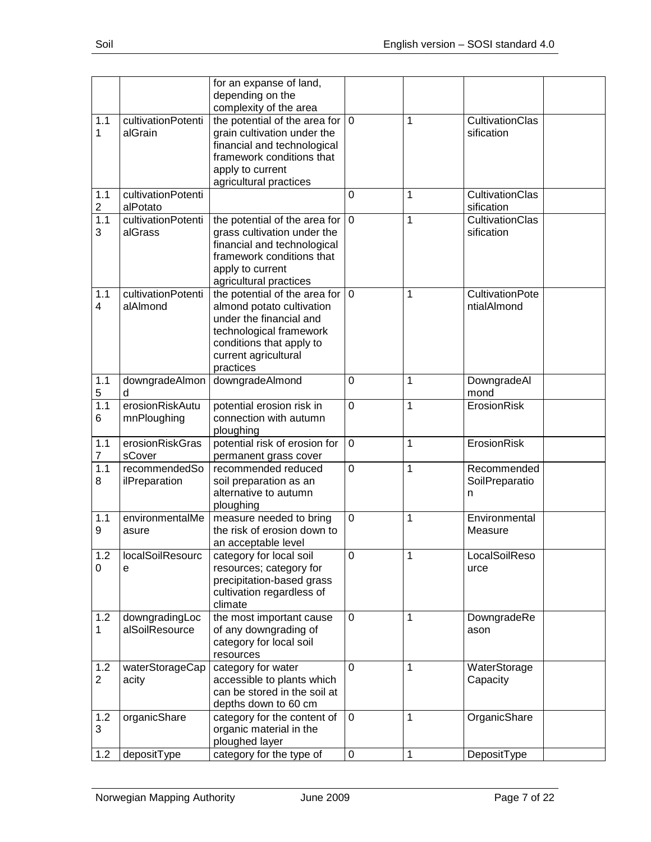|                       |                                  | for an expanse of land,<br>depending on the<br>complexity of the area                                                                                                              |             |   |                                       |
|-----------------------|----------------------------------|------------------------------------------------------------------------------------------------------------------------------------------------------------------------------------|-------------|---|---------------------------------------|
| 1.1<br>1              | cultivationPotenti<br>alGrain    | the potential of the area for<br>grain cultivation under the<br>financial and technological<br>framework conditions that<br>apply to current<br>agricultural practices             | $\mathbf 0$ | 1 | CultivationClas<br>sification         |
| 1.1<br>$\overline{2}$ | cultivationPotenti<br>alPotato   |                                                                                                                                                                                    | 0           | 1 | CultivationClas<br>sification         |
| 1.1<br>3              | cultivationPotenti<br>alGrass    | the potential of the area for $ 0\rangle$<br>grass cultivation under the<br>financial and technological<br>framework conditions that<br>apply to current<br>agricultural practices |             | 1 | <b>CultivationClas</b><br>sification  |
| 1.1<br>4              | cultivationPotenti<br>alAlmond   | the potential of the area for<br>almond potato cultivation<br>under the financial and<br>technological framework<br>conditions that apply to<br>current agricultural<br>practices  | $\mathbf 0$ | 1 | <b>CultivationPote</b><br>ntialAlmond |
| 1.1<br>5              | downgradeAlmon<br>d              | downgradeAlmond                                                                                                                                                                    | 0           | 1 | DowngradeAl<br>mond                   |
| 1.1<br>6              | erosionRiskAutu<br>mnPloughing   | potential erosion risk in<br>connection with autumn<br>ploughing                                                                                                                   | $\mathbf 0$ | 1 | ErosionRisk                           |
| 1.1<br>$\overline{7}$ | erosionRiskGras<br>sCover        | potential risk of erosion for<br>permanent grass cover                                                                                                                             | $\mathbf 0$ | 1 | ErosionRisk                           |
| 1.1<br>8              | recommendedSo<br>ilPreparation   | recommended reduced<br>soil preparation as an<br>alternative to autumn<br>ploughing                                                                                                | $\mathbf 0$ | 1 | Recommended<br>SoilPreparatio<br>n    |
| 1.1<br>9              | environmentalMe<br>asure         | measure needed to bring<br>the risk of erosion down to<br>an acceptable level                                                                                                      | 0           | 1 | Environmental<br>Measure              |
| 1.2<br>0              | localSoilResourc<br>е            | category for local soil<br>resources; category for<br>precipitation-based grass<br>cultivation regardless of<br>climate                                                            | 0           | 1 | LocalSoilReso<br>urce                 |
| 1.2<br>1              | downgradingLoc<br>alSoilResource | the most important cause<br>of any downgrading of<br>category for local soil<br>resources                                                                                          | 0           | 1 | DowngradeRe<br>ason                   |
| 1.2<br>2              | waterStorageCap<br>acity         | category for water<br>accessible to plants which<br>can be stored in the soil at<br>depths down to 60 cm                                                                           | 0           | 1 | WaterStorage<br>Capacity              |
| 1.2<br>3              | organicShare                     | category for the content of<br>organic material in the<br>ploughed layer                                                                                                           | $\mathbf 0$ | 1 | OrganicShare                          |
| 1.2                   | depositType                      | category for the type of                                                                                                                                                           | $\pmb{0}$   | 1 | DepositType                           |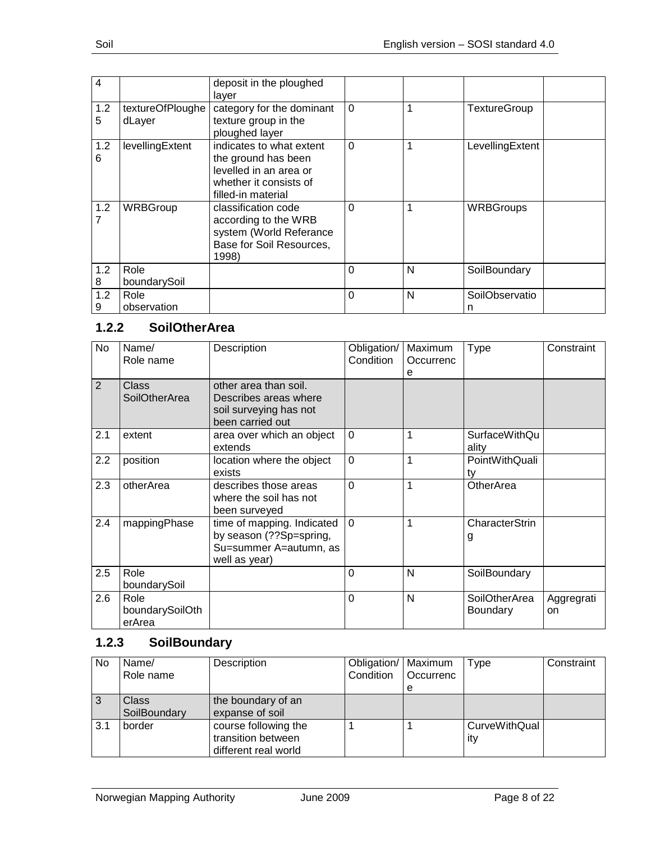| 4        |                            | deposit in the ploughed<br>layer                                                                                          |          |   |                     |
|----------|----------------------------|---------------------------------------------------------------------------------------------------------------------------|----------|---|---------------------|
| 1.2<br>5 | textureOfPloughe<br>dLayer | category for the dominant<br>texture group in the<br>ploughed layer                                                       | $\Omega$ |   | <b>TextureGroup</b> |
| 1.2<br>6 | levellingExtent            | indicates to what extent<br>the ground has been<br>levelled in an area or<br>whether it consists of<br>filled-in material | $\Omega$ | 1 | LevellingExtent     |
| 1.2      | WRBGroup                   | classification code<br>according to the WRB<br>system (World Referance<br>Base for Soil Resources,<br>1998)               | $\Omega$ | 1 | <b>WRBGroups</b>    |
| 1.2<br>8 | Role<br>boundarySoil       |                                                                                                                           | $\Omega$ | N | SoilBoundary        |
| 1.2<br>9 | Role<br>observation        |                                                                                                                           | $\Omega$ | N | SoilObservatio<br>n |

## <span id="page-7-0"></span>**1.2.2 SoilOtherArea**

| No.            | Name/<br>Role name                | Description                                                                                      | Obligation/<br>Condition | Maximum<br>Occurrenc<br>e | <b>Type</b>                      | Constraint       |
|----------------|-----------------------------------|--------------------------------------------------------------------------------------------------|--------------------------|---------------------------|----------------------------------|------------------|
| $\overline{2}$ | Class<br><b>SoilOtherArea</b>     | other area than soil.<br>Describes areas where<br>soil surveying has not<br>been carried out     |                          |                           |                                  |                  |
| 2.1            | extent                            | area over which an object<br>extends                                                             | $\Omega$                 | 1                         | <b>SurfaceWithQu</b><br>ality    |                  |
| 2.2            | position                          | location where the object<br>exists                                                              | $\Omega$                 | 1                         | PointWithQuali<br>ty             |                  |
| 2.3            | otherArea                         | describes those areas<br>where the soil has not<br>been surveyed                                 | $\Omega$                 | 1                         | OtherArea                        |                  |
| 2.4            | mappingPhase                      | time of mapping. Indicated<br>by season (??Sp=spring,<br>Su=summer A=autumn, as<br>well as year) | $\mathbf 0$              | 1                         | CharacterStrin<br>g              |                  |
| 2.5            | Role<br>boundarySoil              |                                                                                                  | $\Omega$                 | N                         | SoilBoundary                     |                  |
| 2.6            | Role<br>boundarySoilOth<br>erArea |                                                                                                  | $\Omega$                 | N                         | SoilOtherArea<br><b>Boundary</b> | Aggregrati<br>on |

# <span id="page-7-1"></span>**1.2.3 SoilBoundary**

| <b>No</b> | Name/<br>Role name           | Description                                                        | Obligation/   Maximum<br>Condition | <b>Occurrenc</b> | Type                        | Constraint |
|-----------|------------------------------|--------------------------------------------------------------------|------------------------------------|------------------|-----------------------------|------------|
|           |                              |                                                                    |                                    | е                |                             |            |
|           | <b>Class</b><br>SoilBoundary | the boundary of an<br>expanse of soil                              |                                    |                  |                             |            |
| 3.1       | border                       | course following the<br>transition between<br>different real world |                                    |                  | <b>CurveWithQual</b><br>ity |            |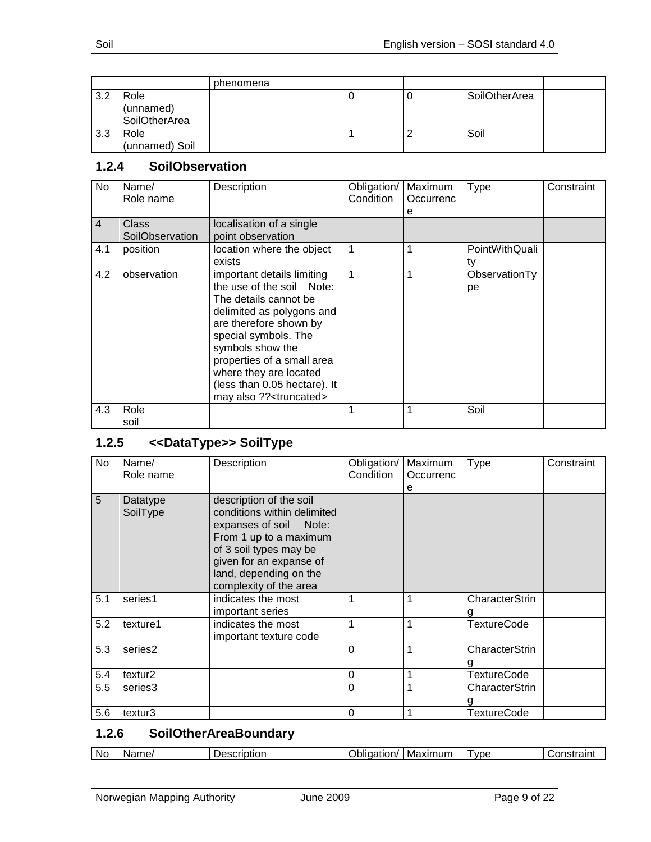|     |                                    | phenomena |    |               |  |
|-----|------------------------------------|-----------|----|---------------|--|
| 3.2 | Role<br>(unnamed)<br>SoilOtherArea |           | ι. | SoilOtherArea |  |
| 3.3 | Role<br>(unnamed) Soil             |           |    | Soil          |  |

# <span id="page-8-0"></span>**1.2.4 SoilObservation**

| No. | Name/<br>Role name       | Description                                                                                                                                                                                                                                                                                                        | Obligation/<br>Condition | Maximum<br>Occurrenc<br>е | <b>Type</b>          | Constraint |
|-----|--------------------------|--------------------------------------------------------------------------------------------------------------------------------------------------------------------------------------------------------------------------------------------------------------------------------------------------------------------|--------------------------|---------------------------|----------------------|------------|
| 4   | Class<br>SoilObservation | localisation of a single<br>point observation                                                                                                                                                                                                                                                                      |                          |                           |                      |            |
| 4.1 | position                 | location where the object<br>exists                                                                                                                                                                                                                                                                                | 1                        |                           | PointWithQuali<br>tv |            |
| 4.2 | observation              | important details limiting<br>the use of the soil Note:<br>The details cannot be<br>delimited as polygons and<br>are therefore shown by<br>special symbols. The<br>symbols show the<br>properties of a small area<br>where they are located<br>(less than 0.05 hectare). It<br>may also ?? <truncated></truncated> | 1                        |                           | ObservationTy<br>рe  |            |
| 4.3 | Role                     |                                                                                                                                                                                                                                                                                                                    |                          |                           | Soil                 |            |
|     | soil                     |                                                                                                                                                                                                                                                                                                                    |                          |                           |                      |            |

# <span id="page-8-1"></span>**1.2.5 <<DataType>> SoilType**

| <b>No</b> | Name/<br>Role name   | Description                                                                                                                                                                                                            | Obligation/<br>Condition | Maximum<br>Occurrenc<br>е | <b>Type</b>         | Constraint |
|-----------|----------------------|------------------------------------------------------------------------------------------------------------------------------------------------------------------------------------------------------------------------|--------------------------|---------------------------|---------------------|------------|
| 5         | Datatype<br>SoilType | description of the soil<br>conditions within delimited<br>expanses of soil<br>Note:<br>From 1 up to a maximum<br>of 3 soil types may be<br>given for an expanse of<br>land, depending on the<br>complexity of the area |                          |                           |                     |            |
| 5.1       | series1              | indicates the most<br>important series                                                                                                                                                                                 | 1                        | 1                         | CharacterStrin      |            |
| 5.2       | texture1             | indicates the most<br>important texture code                                                                                                                                                                           | 1                        | 1                         | TextureCode         |            |
| 5.3       | series2              |                                                                                                                                                                                                                        | $\mathbf 0$              | 1                         | CharacterStrin      |            |
| 5.4       | textur <sub>2</sub>  |                                                                                                                                                                                                                        | $\Omega$                 | 1                         | <b>TextureCode</b>  |            |
| 5.5       | series3              |                                                                                                                                                                                                                        | $\Omega$                 | 1                         | CharacterStrin<br>g |            |
| 5.6       | textur3              |                                                                                                                                                                                                                        | $\mathbf 0$              | 1                         | <b>TextureCode</b>  |            |

# <span id="page-8-2"></span>**1.2.6 SoilOtherAreaBoundary**

| .No<br>Maximum<br><b>VDE</b><br>.<br>ame.<br>Jescription<br>.<br>…∩n⊂<br>aation/<br>וור<br>$\overline{\phantom{a}}$ |
|---------------------------------------------------------------------------------------------------------------------|
|---------------------------------------------------------------------------------------------------------------------|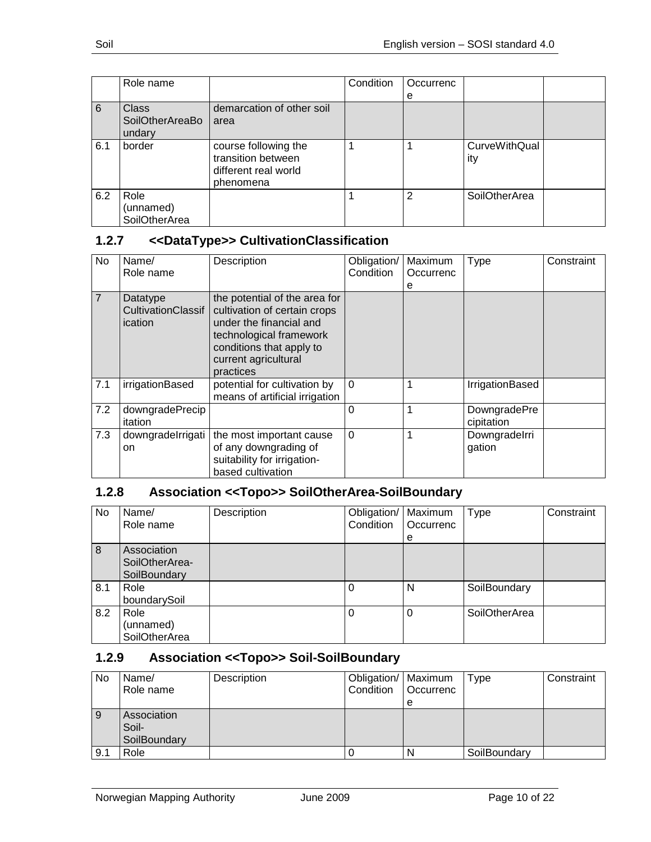|     | Role name       |                           | Condition | Occurrenc      |                      |  |
|-----|-----------------|---------------------------|-----------|----------------|----------------------|--|
|     |                 |                           |           | е              |                      |  |
| 6   | <b>Class</b>    | demarcation of other soil |           |                |                      |  |
|     | SoilOtherAreaBo | area                      |           |                |                      |  |
|     | undary          |                           |           |                |                      |  |
| 6.1 | border          | course following the      |           |                | <b>CurveWithQual</b> |  |
|     |                 | transition between        |           |                | ity                  |  |
|     |                 | different real world      |           |                |                      |  |
|     |                 | phenomena                 |           |                |                      |  |
| 6.2 | Role            |                           |           | $\overline{2}$ | <b>SoilOtherArea</b> |  |
|     | (unnamed)       |                           |           |                |                      |  |
|     | SoilOtherArea   |                           |           |                |                      |  |

# <span id="page-9-0"></span>**1.2.7 <<DataType>> CultivationClassification**

| No             | Name/<br>Role name                        | Description                                                                                                                                                                          | Obligation/<br>Condition | Maximum<br>Occurrenc<br>е | Type                       | Constraint |
|----------------|-------------------------------------------|--------------------------------------------------------------------------------------------------------------------------------------------------------------------------------------|--------------------------|---------------------------|----------------------------|------------|
| $\overline{7}$ | Datatype<br>CultivationClassif<br>ication | the potential of the area for<br>cultivation of certain crops<br>under the financial and<br>technological framework<br>conditions that apply to<br>current agricultural<br>practices |                          |                           |                            |            |
| 7.1            | irrigationBased                           | potential for cultivation by<br>means of artificial irrigation                                                                                                                       | $\Omega$                 |                           | IrrigationBased            |            |
| 7.2            | downgradePrecip<br>itation                |                                                                                                                                                                                      | 0                        |                           | DowngradePre<br>cipitation |            |
| 7.3            | downgradelrrigati<br>on                   | the most important cause<br>of any downgrading of<br>suitability for irrigation-<br>based cultivation                                                                                | $\Omega$                 |                           | Downgradelrri<br>gation    |            |

# <span id="page-9-1"></span>**1.2.8 Association <<Topo>> SoilOtherArea-SoilBoundary**

| No  | Name/<br>Role name                            | Description | Obligation/<br>Condition | Maximum<br>Occurrenc<br>е | <b>Type</b>   | Constraint |
|-----|-----------------------------------------------|-------------|--------------------------|---------------------------|---------------|------------|
| 8   | Association<br>SoilOtherArea-<br>SoilBoundary |             |                          |                           |               |            |
| 8.1 | Role<br>boundarySoil                          |             | 0                        | N                         | SoilBoundary  |            |
| 8.2 | Role<br>(unnamed)<br>SoilOtherArea            |             |                          | 0                         | SoilOtherArea |            |

# <span id="page-9-2"></span>**1.2.9 Association <<Topo>> Soil-SoilBoundary**

| No  | Name/        | Description | Obligation/   Maximum |                  | Type         | Constraint |
|-----|--------------|-------------|-----------------------|------------------|--------------|------------|
|     | Role name    |             | Condition             | <b>Occurrenc</b> |              |            |
|     |              |             |                       | e                |              |            |
| 9   | Association  |             |                       |                  |              |            |
|     | Soil-        |             |                       |                  |              |            |
|     | SoilBoundary |             |                       |                  |              |            |
| 9.1 | Role         |             |                       | N                | SoilBoundary |            |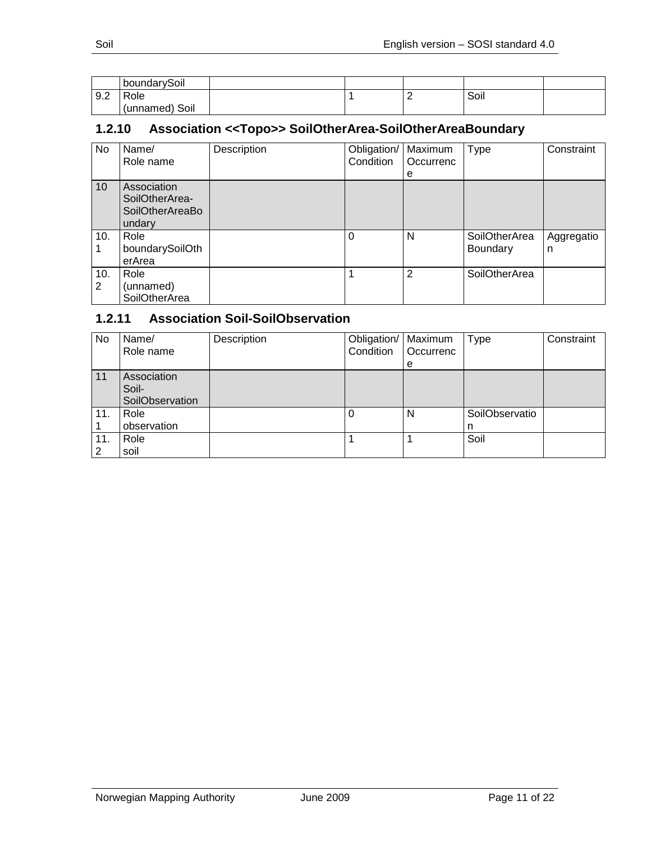|     | boundarySoil   |  |   |      |  |
|-----|----------------|--|---|------|--|
| 9.2 | Role           |  | - | Soil |  |
|     | (unnamed) Soil |  |   |      |  |

# <span id="page-10-0"></span>**1.2.10 Association <<Topo>> SoilOtherArea-SoilOtherAreaBoundary**

| No       | Name/<br>Role name                                                | Description | Obligation/<br>Condition | Maximum<br>Occurrenc<br>е | <b>Type</b>               | Constraint      |
|----------|-------------------------------------------------------------------|-------------|--------------------------|---------------------------|---------------------------|-----------------|
| 10       | Association<br>SoilOtherArea-<br><b>SoilOtherAreaBo</b><br>undary |             |                          |                           |                           |                 |
| 10.      | Role<br>boundarySoilOth<br>erArea                                 |             | 0                        | N                         | SoilOtherArea<br>Boundary | Aggregatio<br>n |
| 10.<br>2 | Role<br>(unnamed)<br>SoilOtherArea                                |             |                          | 2                         | SoilOtherArea             |                 |

# <span id="page-10-1"></span>**1.2.11 Association Soil-SoilObservation**

| No  | Name/<br>Role name                      | Description | Obligation/   Maximum<br>Condition | Occurrenc<br>е | Type                | Constraint |
|-----|-----------------------------------------|-------------|------------------------------------|----------------|---------------------|------------|
| 11  | Association<br>Soil-<br>SoilObservation |             |                                    |                |                     |            |
| 11. | Role<br>observation                     |             |                                    | N              | SoilObservatio<br>n |            |
| 11. | Role<br>soil                            |             |                                    |                | Soil                |            |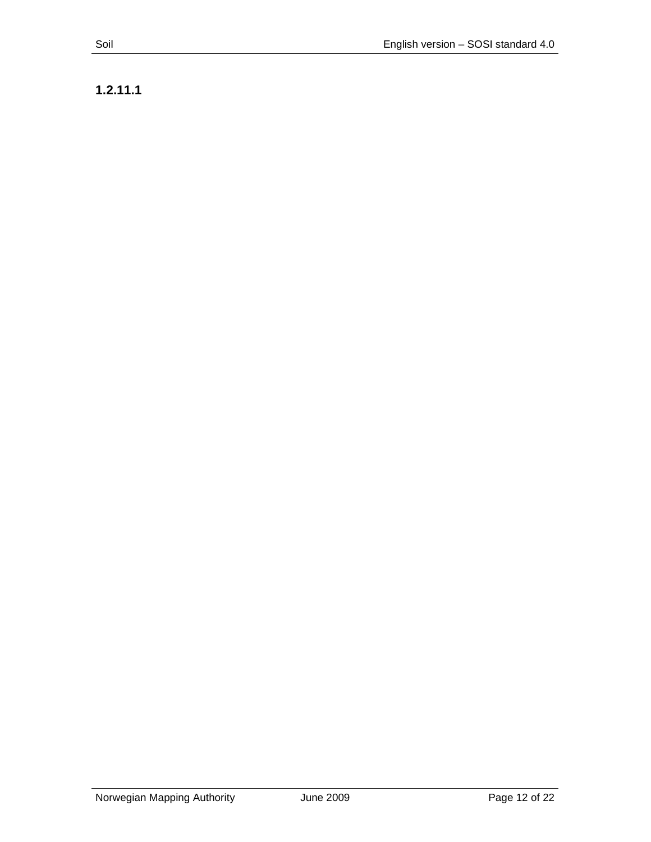**1.2.11.1**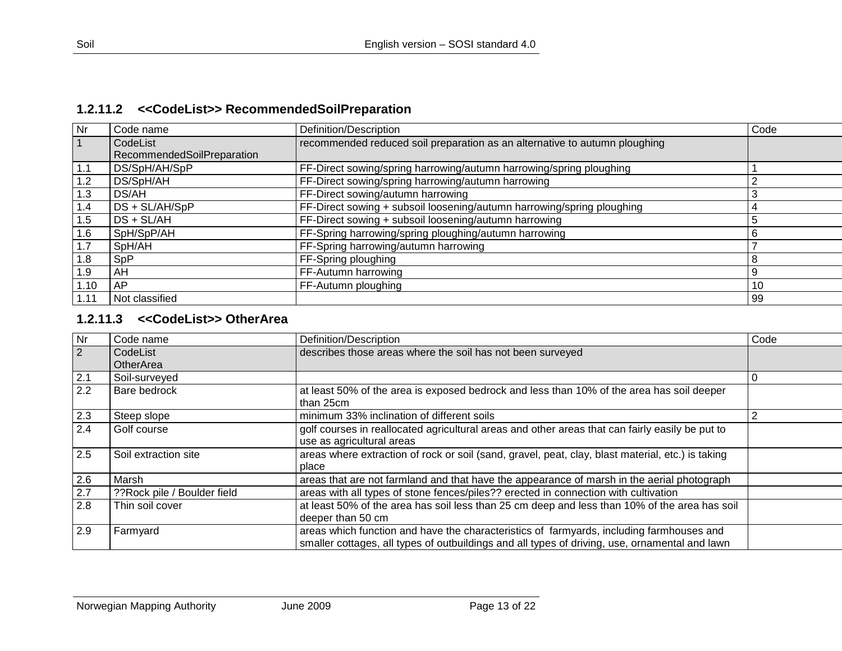# **1.2.11.2 <<CodeList>> RecommendedSoilPreparation**

| <b>Nr</b> | Code name                  | Definition/Description                                                     | Code |
|-----------|----------------------------|----------------------------------------------------------------------------|------|
|           | CodeList                   | recommended reduced soil preparation as an alternative to autumn ploughing |      |
|           | RecommendedSoilPreparation |                                                                            |      |
| 1.1       | DS/SpH/AH/SpP              | FF-Direct sowing/spring harrowing/autumn harrowing/spring ploughing        |      |
| 1.2       | DS/SpH/AH                  | FF-Direct sowing/spring harrowing/autumn harrowing                         |      |
| 1.3       | DS/AH                      | FF-Direct sowing/autumn harrowing                                          |      |
| 1.4       | DS + SL/AH/SpP             | FF-Direct sowing + subsoil loosening/autumn harrowing/spring ploughing     |      |
| 1.5       | DS + SL/AH                 | FF-Direct sowing + subsoil loosening/autumn harrowing                      |      |
| 1.6       | SpH/SpP/AH                 | FF-Spring harrowing/spring ploughing/autumn harrowing                      |      |
| 1.7       | SpH/AH                     | FF-Spring harrowing/autumn harrowing                                       |      |
| 1.8       | SpP                        | FF-Spring ploughing                                                        |      |
| 1.9       | AH                         | FF-Autumn harrowing                                                        |      |
| 1.10      | <b>AP</b>                  | FF-Autumn ploughing                                                        | 10   |
| 1.11      | Not classified             |                                                                            | 99   |

## <span id="page-12-0"></span>**1.2.11.3 <<CodeList>> OtherArea**

<span id="page-12-1"></span>

| Nr               | Code name                   | Definition/Description                                                                                                                                                                     | Code |
|------------------|-----------------------------|--------------------------------------------------------------------------------------------------------------------------------------------------------------------------------------------|------|
| $\vert$ 2        | CodeList                    | describes those areas where the soil has not been surveyed                                                                                                                                 |      |
|                  | OtherArea                   |                                                                                                                                                                                            |      |
| $2.1$            | Soil-surveyed               |                                                                                                                                                                                            | 0    |
| 2.2              | <b>Bare bedrock</b>         | at least 50% of the area is exposed bedrock and less than 10% of the area has soil deeper<br>than 25cm                                                                                     |      |
| 2.3              | Steep slope                 | minimum 33% inclination of different soils                                                                                                                                                 |      |
| 2.4              | Golf course                 | golf courses in reallocated agricultural areas and other areas that can fairly easily be put to<br>use as agricultural areas                                                               |      |
| $\overline{2.5}$ | Soil extraction site        | areas where extraction of rock or soil (sand, gravel, peat, clay, blast material, etc.) is taking<br>place                                                                                 |      |
| 2.6              | Marsh                       | areas that are not farmland and that have the appearance of marsh in the aerial photograph                                                                                                 |      |
| 2.7              | ??Rock pile / Boulder field | areas with all types of stone fences/piles?? erected in connection with cultivation                                                                                                        |      |
| 2.8              | Thin soil cover             | at least 50% of the area has soil less than 25 cm deep and less than 10% of the area has soil<br>deeper than 50 cm                                                                         |      |
| 2.9              | Farmyard                    | areas which function and have the characteristics of farmyards, including farmhouses and<br>smaller cottages, all types of outbuildings and all types of driving, use, ornamental and lawn |      |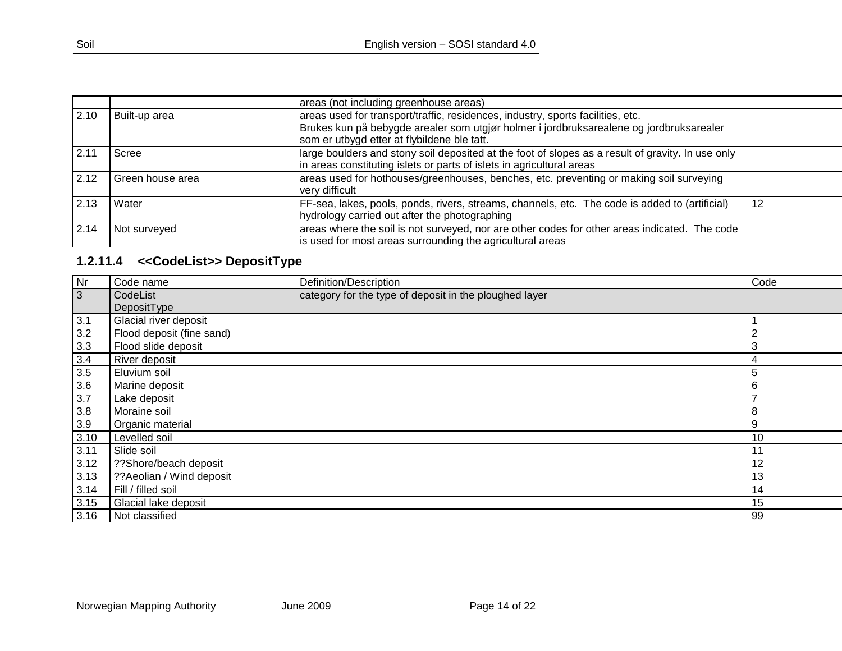|      |                  | areas (not including greenhouse areas)                                                           |    |
|------|------------------|--------------------------------------------------------------------------------------------------|----|
| 2.10 | Built-up area    | areas used for transport/traffic, residences, industry, sports facilities, etc.                  |    |
|      |                  | Brukes kun på bebygde arealer som utgjør holmer i jordbruksarealene og jordbruksarealer          |    |
|      |                  | som er utbygd etter at flybildene ble tatt.                                                      |    |
| 2.11 | Scree            | arge boulders and stony soil deposited at the foot of slopes as a result of gravity. In use only |    |
|      |                  | in areas constituting islets or parts of islets in agricultural areas                            |    |
| 2.12 | Green house area | areas used for hothouses/greenhouses, benches, etc. preventing or making soil surveying          |    |
|      |                  | very difficult                                                                                   |    |
| 2.13 | Water            | FF-sea, lakes, pools, ponds, rivers, streams, channels, etc. The code is added to (artificial)   | 12 |
|      |                  | hydrology carried out after the photographing                                                    |    |
| 2.14 | Not surveyed     | areas where the soil is not surveyed, nor are other codes for other areas indicated. The code    |    |
|      |                  | is used for most areas surrounding the agricultural areas                                        |    |

# **1.2.11.4 <<CodeList>> DepositType**

<span id="page-13-0"></span>

| Nr   | Code name                 | Definition/Description                                 | Code |
|------|---------------------------|--------------------------------------------------------|------|
| 3    | CodeList                  | category for the type of deposit in the ploughed layer |      |
|      | DepositType               |                                                        |      |
| 3.1  | Glacial river deposit     |                                                        |      |
| 3.2  | Flood deposit (fine sand) |                                                        | ◠    |
| 3.3  | Flood slide deposit       |                                                        | 3    |
| 3.4  | River deposit             |                                                        | 4    |
| 3.5  | Eluvium soil              |                                                        | 5    |
| 3.6  | Marine deposit            |                                                        | 6    |
| 3.7  | Lake deposit              |                                                        | –    |
| 3.8  | Moraine soil              |                                                        | 8    |
| 3.9  | Organic material          |                                                        | 9    |
| 3.10 | Levelled soil             |                                                        | 10   |
| 3.11 | Slide soil                |                                                        | 11   |
| 3.12 | ??Shore/beach deposit     |                                                        | 12   |
| 3.13 | ??Aeolian / Wind deposit  |                                                        | 13   |
| 3.14 | Fill / filled soil        |                                                        | 14   |
| 3.15 | Glacial lake deposit      |                                                        | 15   |
| 3.16 | Not classified            |                                                        | 99   |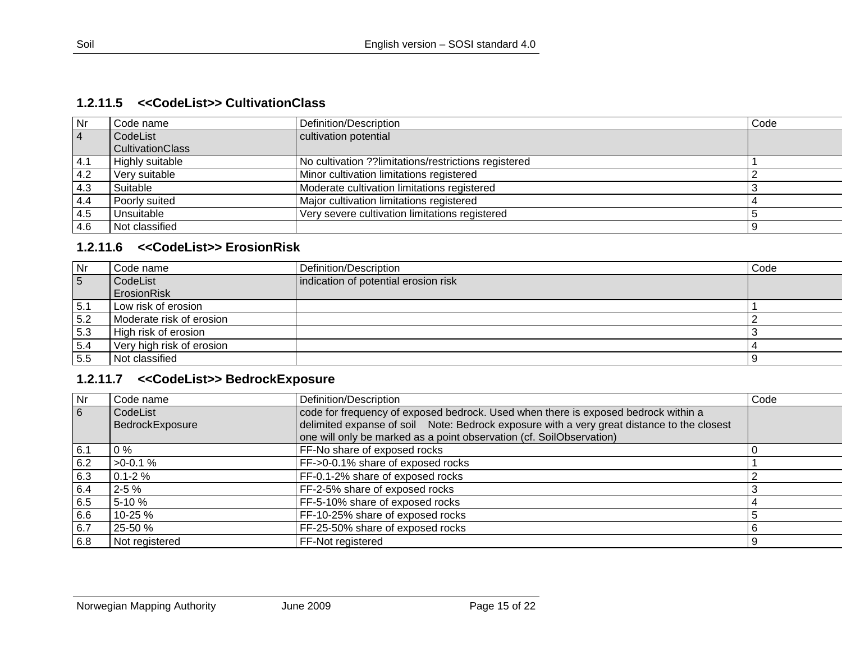#### **1.2.11.5 <<CodeList>> CultivationClass**

| Nr        | Code name               | Definition/Description                               | Code |
|-----------|-------------------------|------------------------------------------------------|------|
| $\vert$ 4 | CodeList                | cultivation potential                                |      |
|           | <b>CultivationClass</b> |                                                      |      |
| 4.1       | <b>Highly suitable</b>  | No cultivation ??limitations/restrictions registered |      |
| 4.2       | Very suitable           | Minor cultivation limitations registered             |      |
| 4.3       | Suitable                | Moderate cultivation limitations registered          |      |
| 4.4       | Poorly suited           | Major cultivation limitations registered             |      |
| 4.5       | Unsuitable              | Very severe cultivation limitations registered       |      |
| 4.6       | Not classified          |                                                      |      |

# **1.2.11.6 <<CodeList>> ErosionRisk**

<span id="page-14-0"></span>

| l Nr | Code name                 | Definition/Description               | Code |
|------|---------------------------|--------------------------------------|------|
| 5    | CodeList                  | indication of potential erosion risk |      |
|      | ErosionRisk               |                                      |      |
| 5.1  | Low risk of erosion       |                                      |      |
| 5.2  | Moderate risk of erosion  |                                      |      |
| 5.3  | High risk of erosion      |                                      |      |
| 5.4  | Very high risk of erosion |                                      |      |
| 5.5  | Not classified            |                                      |      |

# **1.2.11.7 <<CodeList>> BedrockExposure**

<span id="page-14-2"></span><span id="page-14-1"></span>

| Nr.            | Code name       | Definition/Description                                                                     | Code |
|----------------|-----------------|--------------------------------------------------------------------------------------------|------|
| $\overline{6}$ | CodeList        | code for frequency of exposed bedrock. Used when there is exposed bedrock within a         |      |
|                | BedrockExposure | delimited expanse of soil Note: Bedrock exposure with a very great distance to the closest |      |
|                |                 | one will only be marked as a point observation (cf. SoilObservation)                       |      |
| 6.1            | $0\%$           | FF-No share of exposed rocks                                                               |      |
| 6.2            | $>0.1\%$        | FF->0-0.1% share of exposed rocks                                                          |      |
| 6.3            | $0.1 - 2 \%$    | FF-0.1-2% share of exposed rocks                                                           |      |
| 6.4            | $2 - 5%$        | FF-2-5% share of exposed rocks                                                             |      |
| 6.5            | 5-10 %          | FF-5-10% share of exposed rocks                                                            |      |
| 6.6            | 10-25 %         | FF-10-25% share of exposed rocks                                                           |      |
| 6.7            | 25-50 %         | FF-25-50% share of exposed rocks                                                           |      |
| 6.8            | Not registered  | FF-Not registered                                                                          |      |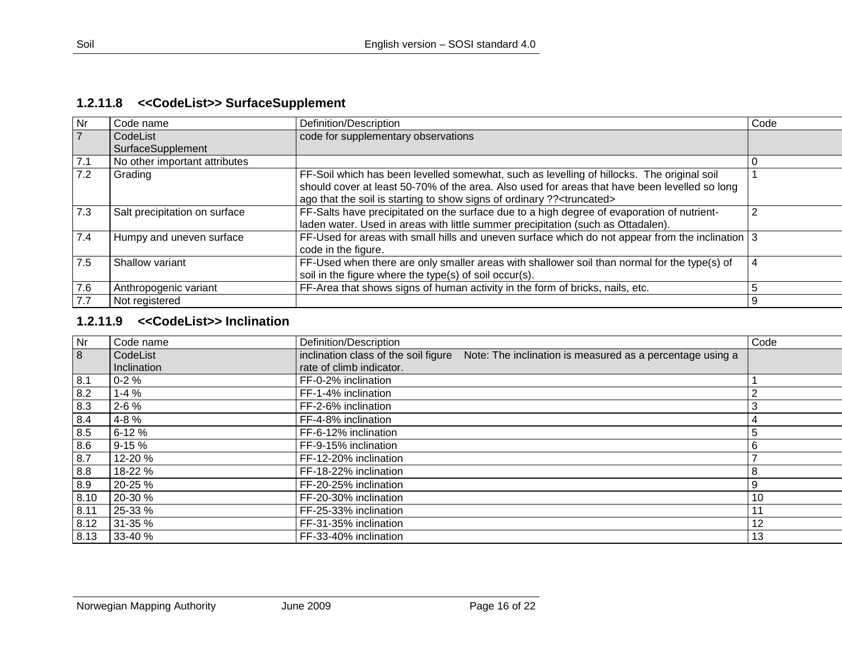# **1.2.11.8 <<CodeList>> SurfaceSupplement**

| Nr             | Code name                     | Definition/Description                                                                                                                                                                                                                                                            | Code |
|----------------|-------------------------------|-----------------------------------------------------------------------------------------------------------------------------------------------------------------------------------------------------------------------------------------------------------------------------------|------|
| $\overline{7}$ | CodeList<br>SurfaceSupplement | code for supplementary observations                                                                                                                                                                                                                                               |      |
| 7.1            | No other important attributes |                                                                                                                                                                                                                                                                                   |      |
| 7.2            | Grading                       | FF-Soil which has been levelled somewhat, such as levelling of hillocks. The original soil<br>should cover at least 50-70% of the area. Also used for areas that have been levelled so long<br>ago that the soil is starting to show signs of ordinary ?? <truncated></truncated> |      |
| 7.3            | Salt precipitation on surface | FF-Salts have precipitated on the surface due to a high degree of evaporation of nutrient-<br>laden water. Used in areas with little summer precipitation (such as Ottadalen).                                                                                                    | 2    |
| 7.4            | Humpy and uneven surface      | FF-Used for areas with small hills and uneven surface which do not appear from the inclination   3<br>code in the figure.                                                                                                                                                         |      |
| 7.5            | Shallow variant               | FF-Used when there are only smaller areas with shallower soil than normal for the type(s) of<br>soil in the figure where the type(s) of soil occur(s).                                                                                                                            | 4    |
| 7.6            | Anthropogenic variant         | FF-Area that shows signs of human activity in the form of bricks, nails, etc.                                                                                                                                                                                                     |      |
| 7.7            | Not registered                |                                                                                                                                                                                                                                                                                   | 9    |

# <span id="page-15-0"></span>**1.2.11.9 <<CodeList>> Inclination**

<span id="page-15-1"></span>

| Nr   | Code name   | Definition/Description                                                                            | Code |
|------|-------------|---------------------------------------------------------------------------------------------------|------|
| 8    | CodeList    | inclination class of the soil figure<br>Note: The inclination is measured as a percentage using a |      |
|      | Inclination | rate of climb indicator.                                                                          |      |
| 8.1  | $0 - 2%$    | FF-0-2% inclination                                                                               |      |
| 8.2  | $1 - 4%$    | FF-1-4% inclination                                                                               | ົ    |
| 8.3  | $2 - 6%$    | FF-2-6% inclination                                                                               | 3    |
| 8.4  | 4-8 %       | FF-4-8% inclination                                                                               | 4    |
| 8.5  | $6 - 12%$   | FF-6-12% inclination                                                                              | 5    |
| 8.6  | $9 - 15%$   | FF-9-15% inclination                                                                              | 6    |
| 8.7  | 12-20 %     | FF-12-20% inclination                                                                             |      |
| 8.8  | 18-22 %     | FF-18-22% inclination                                                                             | 8    |
| 8.9  | 20-25 %     | FF-20-25% inclination                                                                             | 9    |
| 8.10 | 20-30 %     | FF-20-30% inclination                                                                             | 10   |
| 8.11 | 25-33 %     | FF-25-33% inclination                                                                             | 11   |
| 8.12 | 31-35 %     | FF-31-35% inclination                                                                             | 12   |
| 8.13 | 33-40 %     | FF-33-40% inclination                                                                             | 13   |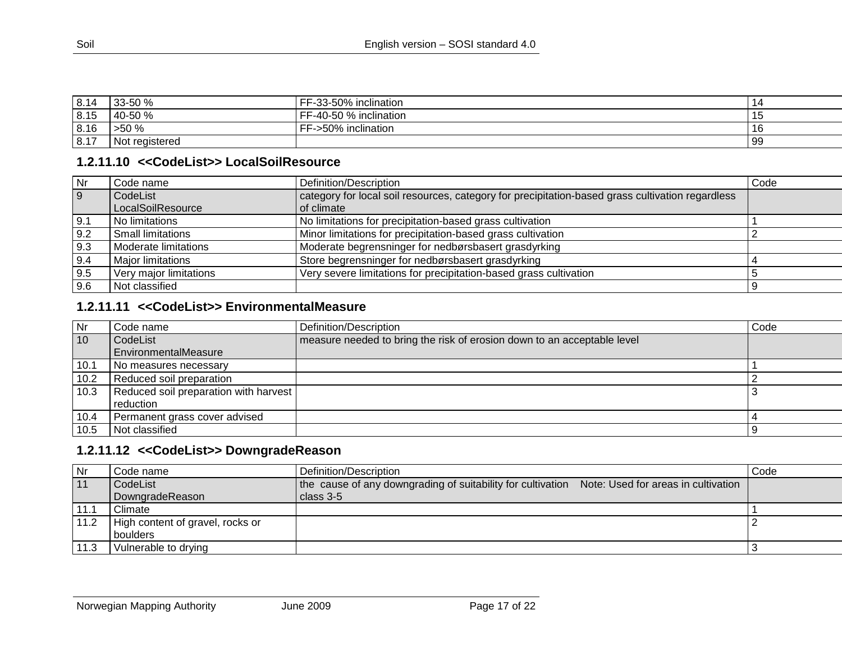| 8.14 | 33-50 %        | FF-33-50% inclination  |     |
|------|----------------|------------------------|-----|
| 8.15 | 40-50 %        | FF-40-50 % inclination |     |
| 8.16 | >50%           | FF->50% inclination    | 16  |
| 8.17 | Not registered |                        | -99 |

# **1.2.11.10 <<CodeList>> LocalSoilResource**

| Nr             | Code name                | Definition/Description                                                                           | Code |
|----------------|--------------------------|--------------------------------------------------------------------------------------------------|------|
| $\overline{9}$ | CodeList                 | category for local soil resources, category for precipitation-based grass cultivation regardless |      |
|                | LocalSoilResource        | of climate                                                                                       |      |
| 9.1            | No limitations           | No limitations for precipitation-based grass cultivation                                         |      |
| 9.2            | <b>Small limitations</b> | Minor limitations for precipitation-based grass cultivation                                      |      |
| 9.3            | Moderate limitations     | Moderate begrensninger for nedbørsbasert grasdyrking                                             |      |
| 9.4            | <b>Major limitations</b> | Store begrensninger for nedbørsbasert grasdyrking                                                |      |
| 9.5            | Very major limitations   | Very severe limitations for precipitation-based grass cultivation                                |      |
| 9.6            | Not classified           |                                                                                                  |      |

# **1.2.11.11 <<CodeList>> EnvironmentalMeasure**

<span id="page-16-0"></span>

| Nr   | Code name                             | Definition/Description                                                  | Code |
|------|---------------------------------------|-------------------------------------------------------------------------|------|
| 10   | CodeList                              | measure needed to bring the risk of erosion down to an acceptable level |      |
|      | EnvironmentalMeasure                  |                                                                         |      |
| 10.1 | No measures necessary                 |                                                                         |      |
| 10.2 | Reduced soil preparation              |                                                                         |      |
| 10.3 | Reduced soil preparation with harvest |                                                                         |      |
|      | l reduction                           |                                                                         |      |
| 10.4 | Permanent grass cover advised         |                                                                         |      |
| 10.5 | Not classified                        |                                                                         |      |

## **1.2.11.12 <<CodeList>> DowngradeReason**

<span id="page-16-2"></span><span id="page-16-1"></span>

| Nr   | Code name                        | Definition/Description                                                                          | Code |
|------|----------------------------------|-------------------------------------------------------------------------------------------------|------|
| 11   | CodeList                         | the cause of any downgrading of suitability for cultivation Note: Used for areas in cultivation |      |
|      | DowngradeReason                  | $class 3-5$                                                                                     |      |
| 11.1 | Climate                          |                                                                                                 |      |
| 11.2 | High content of gravel, rocks or |                                                                                                 |      |
|      | l boulders                       |                                                                                                 |      |
| 11.3 | Vulnerable to drying             |                                                                                                 |      |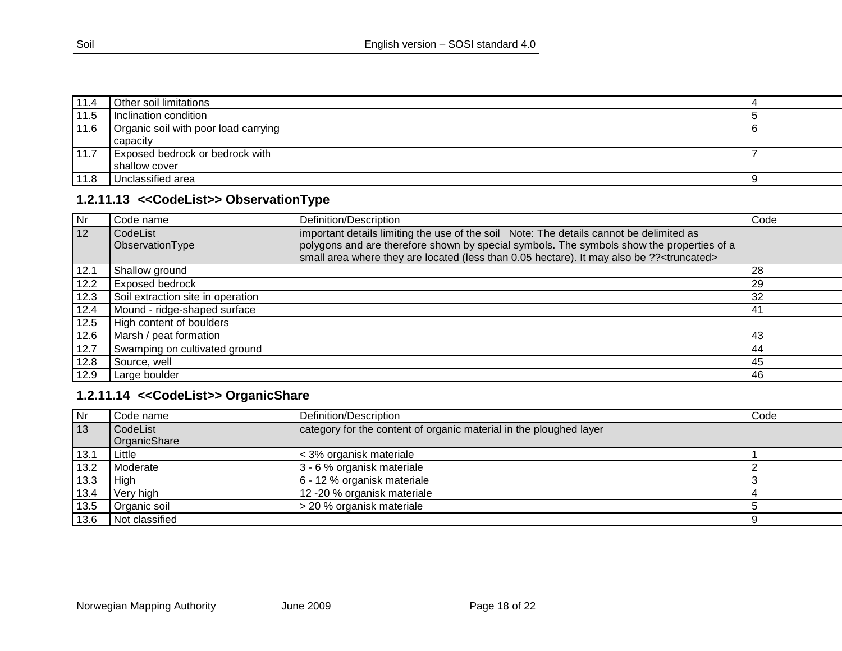| 11.4 | Other soil limitations                           |     |
|------|--------------------------------------------------|-----|
| 11.5 | Inclination condition                            |     |
| 11.6 | Organic soil with poor load carrying<br>capacity | - O |
| 11.7 | Exposed bedrock or bedrock with<br>shallow cover |     |
| 11.8 | Unclassified area                                | ్ర  |

# **1.2.11.13 <<CodeList>> ObservationType**

| Nr   | Code name                         | Definition/Description                                                                                | Code |
|------|-----------------------------------|-------------------------------------------------------------------------------------------------------|------|
| 12   | CodeList                          | important details limiting the use of the soil Note: The details cannot be delimited as               |      |
|      | ObservationType                   | polygons and are therefore shown by special symbols. The symbols show the properties of a             |      |
|      |                                   | small area where they are located (less than 0.05 hectare). It may also be ?? <truncated></truncated> |      |
| 12.1 | Shallow ground                    |                                                                                                       | -28  |
| 12.2 | <b>Exposed bedrock</b>            |                                                                                                       | 29   |
| 12.3 | Soil extraction site in operation |                                                                                                       | 32   |
| 12.4 | Mound - ridge-shaped surface      |                                                                                                       | 41   |
| 12.5 | High content of boulders          |                                                                                                       |      |
| 12.6 | Marsh / peat formation            |                                                                                                       | 43   |
| 12.7 | Swamping on cultivated ground     |                                                                                                       | 44   |
| 12.8 | Source, well                      |                                                                                                       | 45   |
| 12.9 | Large boulder                     |                                                                                                       | 46   |

# <span id="page-17-0"></span>**1.2.11.14 <<CodeList>> OrganicShare**

<span id="page-17-1"></span>

| Nr   | Code name                | Definition/Description                                             | Code |
|------|--------------------------|--------------------------------------------------------------------|------|
| 13   | CodeList<br>OrganicShare | category for the content of organic material in the ploughed layer |      |
| 13.1 | Little                   | < 3% organisk materiale                                            |      |
| 13.2 | Moderate                 | 3 - 6 % organisk materiale                                         |      |
| 13.3 | High                     | 6 - 12 % organisk materiale                                        |      |
| 13.4 | Very high                | 12 -20 % organisk materiale                                        |      |
| 13.5 | Organic soil             | > 20 % organisk materiale                                          |      |
| 13.6 | Not classified           |                                                                    |      |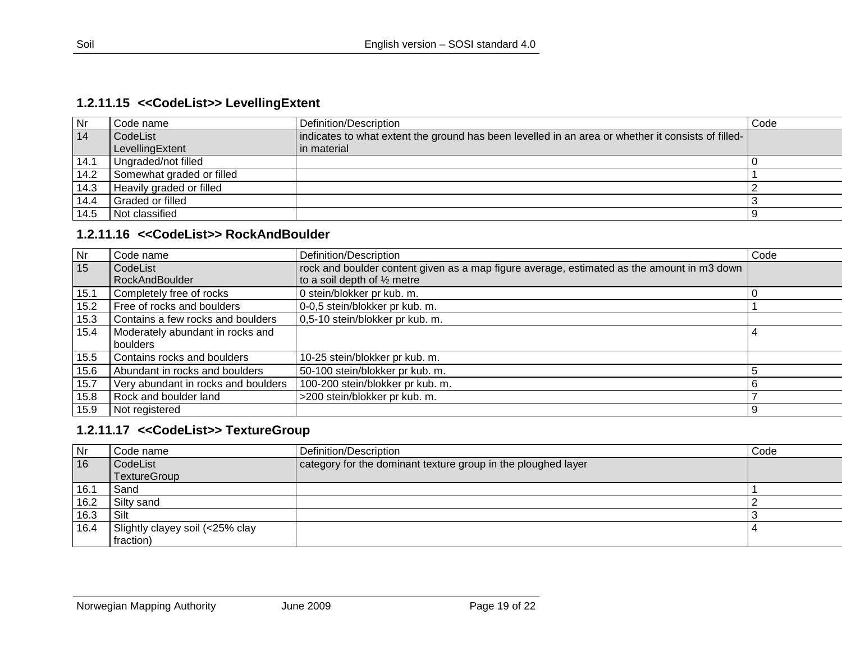# **1.2.11.15 <<CodeList>> LevellingExtent**

| Nr   | Code name                 | Definition/Description                                                                             | Code |
|------|---------------------------|----------------------------------------------------------------------------------------------------|------|
| 14   | CodeList                  | indicates to what extent the ground has been levelled in an area or whether it consists of filled- |      |
|      | LevellingExtent           | in material                                                                                        |      |
| 14.1 | Ungraded/not filled       |                                                                                                    |      |
| 14.2 | Somewhat graded or filled |                                                                                                    |      |
| 14.3 | Heavily graded or filled  |                                                                                                    |      |
| 14.4 | <b>Graded or filled</b>   |                                                                                                    |      |
| 14.5 | l Not classified          |                                                                                                    |      |

# **1.2.11.16 <<CodeList>> RockAndBoulder**

<span id="page-18-0"></span>

| <b>Nr</b> | Code name                           | Definition/Description                                                                     | Code |
|-----------|-------------------------------------|--------------------------------------------------------------------------------------------|------|
| 15        | CodeList                            | rock and boulder content given as a map figure average, estimated as the amount in m3 down |      |
|           | RockAndBoulder                      | to a soil depth of $\frac{1}{2}$ metre                                                     |      |
| 15.1      | Completely free of rocks            | 0 stein/blokker pr kub. m.                                                                 |      |
| 15.2      | Free of rocks and boulders          | 0-0,5 stein/blokker pr kub. m.                                                             |      |
| 15.3      | Contains a few rocks and boulders   | 0,5-10 stein/blokker pr kub. m.                                                            |      |
| 15.4      | Moderately abundant in rocks and    |                                                                                            | 4    |
|           | boulders                            |                                                                                            |      |
| 15.5      | Contains rocks and boulders         | 10-25 stein/blokker pr kub. m.                                                             |      |
| 15.6      | Abundant in rocks and boulders      | 50-100 stein/blokker pr kub. m.                                                            |      |
| 15.7      | Very abundant in rocks and boulders | 100-200 stein/blokker pr kub. m.                                                           | 6    |
| 15.8      | Rock and boulder land               | >200 stein/blokker pr kub. m.                                                              |      |
| 15.9      | Not registered                      |                                                                                            | 9    |

#### <span id="page-18-1"></span>**1.2.11.17 <<CodeList>> TextureGroup**

<span id="page-18-2"></span>

| Nr   | Code name                       | Definition/Description                                        | Code |
|------|---------------------------------|---------------------------------------------------------------|------|
| 16   | CodeList                        | category for the dominant texture group in the ploughed layer |      |
|      | <b>TextureGroup</b>             |                                                               |      |
| 16.1 | Sand                            |                                                               |      |
| 16.2 | Silty sand                      |                                                               |      |
| 16.3 | Silt                            |                                                               |      |
| 16.4 | Slightly clayey soil (<25% clay |                                                               |      |
|      | fraction)                       |                                                               |      |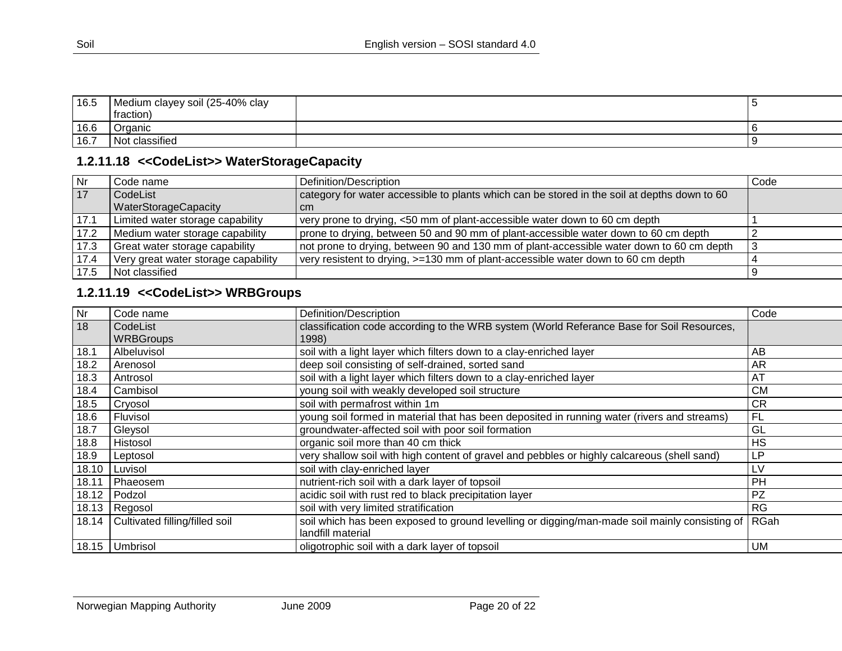| 16.5 | Medium clayey soil (25-40% clay |  |
|------|---------------------------------|--|
|      | traction                        |  |
| 16.6 | Organic                         |  |
| 16.7 | $\cdot$ .<br>Nο<br>classified   |  |

# **1.2.11.18 <<CodeList>> WaterStorageCapacity**

| <b>Nr</b> | Code name                           | Definition/Description                                                                       | Code |
|-----------|-------------------------------------|----------------------------------------------------------------------------------------------|------|
| 117       | CodeList                            | category for water accessible to plants which can be stored in the soil at depths down to 60 |      |
|           | <b>WaterStorageCapacity</b>         | I cm                                                                                         |      |
| 17.1      | Limited water storage capability    | very prone to drying, <50 mm of plant-accessible water down to 60 cm depth                   |      |
| 17.2      | Medium water storage capability     | prone to drying, between 50 and 90 mm of plant-accessible water down to 60 cm depth          |      |
| 17.3      | Great water storage capability      | not prone to drying, between 90 and 130 mm of plant-accessible water down to 60 cm depth     |      |
| 17.4      | Very great water storage capability | very resistent to drying, >=130 mm of plant-accessible water down to 60 cm depth             |      |
| 17.5      | Not classified                      |                                                                                              |      |

# **1.2.11.19 <<CodeList>> WRBGroups**

<span id="page-19-1"></span><span id="page-19-0"></span>

| Nr    | Code name                      | Definition/Description                                                                        | Code      |
|-------|--------------------------------|-----------------------------------------------------------------------------------------------|-----------|
| 18    | CodeList                       | classification code according to the WRB system (World Referance Base for Soil Resources,     |           |
|       | <b>WRBGroups</b>               | 1998)                                                                                         |           |
| 18.1  | Albeluvisol                    | soil with a light layer which filters down to a clay-enriched layer                           | AB        |
| 18.2  | Arenosol                       | deep soil consisting of self-drained, sorted sand                                             | AR        |
| 18.3  | Antrosol                       | soil with a light layer which filters down to a clay-enriched layer                           | AT        |
| 18.4  | Cambisol                       | young soil with weakly developed soil structure                                               | <b>CM</b> |
| 18.5  | Cryosol                        | soil with permafrost within 1m                                                                | <b>CR</b> |
| 18.6  | Fluvisol                       | young soil formed in material that has been deposited in running water (rivers and streams)   | <b>FL</b> |
| 18.7  | Gleysol                        | groundwater-affected soil with poor soil formation                                            | GL        |
| 18.8  | Histosol                       | organic soil more than 40 cm thick                                                            | <b>HS</b> |
| 18.9  | Leptosol                       | very shallow soil with high content of gravel and pebbles or highly calcareous (shell sand)   | LP        |
| 18.10 | Luvisol                        | soil with clay-enriched layer                                                                 | LV        |
| 18.11 | Phaeosem                       | nutrient-rich soil with a dark layer of topsoil                                               | <b>PH</b> |
| 18.12 | Podzol                         | acidic soil with rust red to black precipitation layer                                        | <b>PZ</b> |
|       | 18.13 Regosol                  | soil with very limited stratification                                                         | <b>RG</b> |
| 18.14 | Cultivated filling/filled soil | soil which has been exposed to ground levelling or digging/man-made soil mainly consisting of | RGah      |
|       |                                | landfill material                                                                             |           |
|       | 18.15 Umbrisol                 | oligotrophic soil with a dark layer of topsoil                                                | UM        |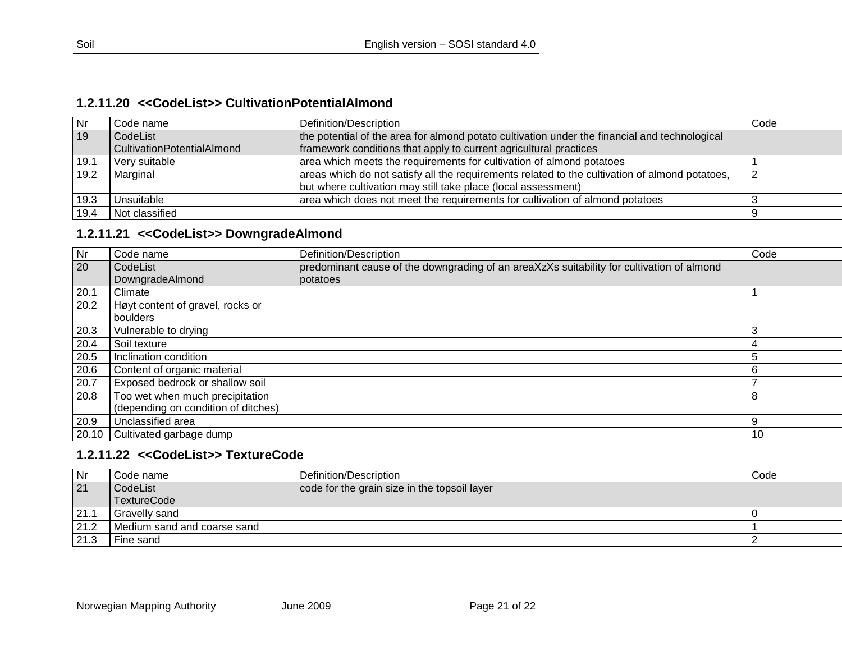#### **1.2.11.20 <<CodeList>> CultivationPotentialAlmond**

| <b>Nr</b> | Code name                  | Definition/Description                                                                         | Code |
|-----------|----------------------------|------------------------------------------------------------------------------------------------|------|
| 19        | CodeList                   | the potential of the area for almond potato cultivation under the financial and technological  |      |
|           | CultivationPotentialAlmond | framework conditions that apply to current agricultural practices                              |      |
| 19.1      | Very suitable              | area which meets the requirements for cultivation of almond potatoes                           |      |
| 19.2      | Marginal                   | areas which do not satisfy all the requirements related to the cultivation of almond potatoes. |      |
|           |                            | but where cultivation may still take place (local assessment)                                  |      |
| 19.3      | l Unsuitable               | area which does not meet the requirements for cultivation of almond potatoes                   |      |
| 19.4      | Not classified             |                                                                                                |      |

# **1.2.11.21 <<CodeList>> DowngradeAlmond**

<span id="page-20-0"></span>

| Nr    | Code name                           | Definition/Description                                                                    | Code |
|-------|-------------------------------------|-------------------------------------------------------------------------------------------|------|
| 20    | CodeList                            | predominant cause of the downgrading of an areaXzXs suitability for cultivation of almond |      |
|       | DowngradeAlmond                     | potatoes                                                                                  |      |
| 20.1  | Climate                             |                                                                                           |      |
| 20.2  | Høyt content of gravel, rocks or    |                                                                                           |      |
|       | boulders                            |                                                                                           |      |
| 20.3  | Vulnerable to drying                |                                                                                           | 3    |
| 20.4  | Soil texture                        |                                                                                           |      |
| 20.5  | Inclination condition               |                                                                                           | 5    |
| 20.6  | Content of organic material         |                                                                                           |      |
| 20.7  | Exposed bedrock or shallow soil     |                                                                                           |      |
| 20.8  | Too wet when much precipitation     |                                                                                           | 8    |
|       | (depending on condition of ditches) |                                                                                           |      |
| 20.9  | Unclassified area                   |                                                                                           | 9    |
| 20.10 | Cultivated garbage dump             |                                                                                           | -10  |

#### <span id="page-20-1"></span>**1.2.11.22 <<CodeList>> TextureCode**

<span id="page-20-2"></span>

| Nr   | Code name                   | l Definition/Description                     | Code |
|------|-----------------------------|----------------------------------------------|------|
| 21   | CodeList                    | code for the grain size in the topsoil layer |      |
|      | TextureCode                 |                                              |      |
| 21.1 | Gravelly sand               |                                              |      |
| 21.2 | Medium sand and coarse sand |                                              |      |
| 21.3 | Fine sand                   |                                              |      |